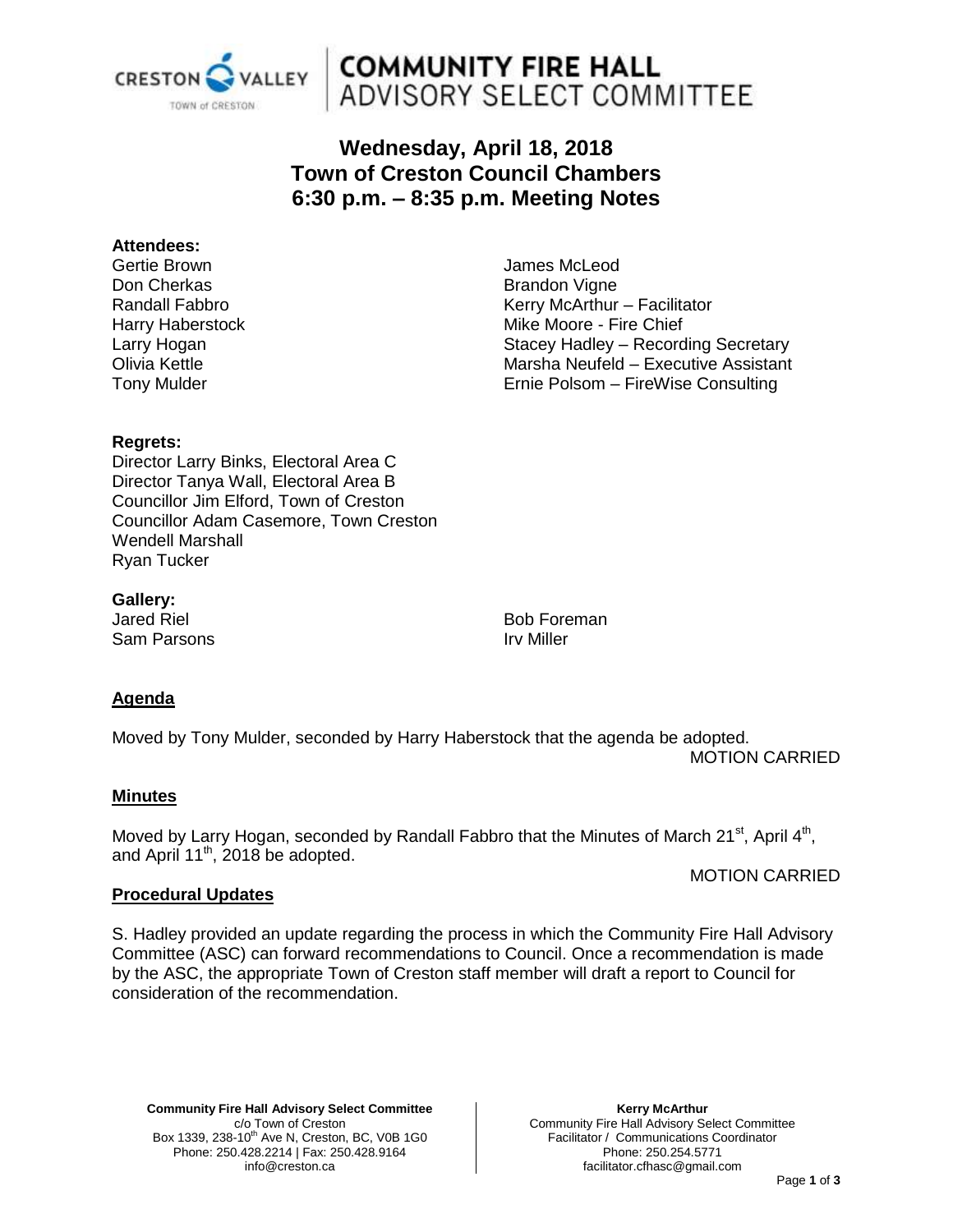

# **COMMUNITY FIRE HALL** ADVISORY SELECT COMMITTEE

# **Wednesday, April 18, 2018 Town of Creston Council Chambers 6:30 p.m. – 8:35 p.m. Meeting Notes**

#### **Attendees:**

Gertie Brown Don Cherkas Randall Fabbro Harry Haberstock Larry Hogan Olivia Kettle Tony Mulder

James McLeod Brandon Vigne Kerry McArthur – Facilitator Mike Moore - Fire Chief Stacey Hadley – Recording Secretary Marsha Neufeld – Executive Assistant Ernie Polsom – FireWise Consulting

# **Regrets:**

Director Larry Binks, Electoral Area C Director Tanya Wall, Electoral Area B Councillor Jim Elford, Town of Creston Councillor Adam Casemore, Town Creston Wendell Marshall Ryan Tucker

**Gallery:**

Jared Riel Sam Parsons

Bob Foreman Irv Miller

# **Agenda**

Moved by Tony Mulder, seconded by Harry Haberstock that the agenda be adopted. MOTION CARRIED

# **Minutes**

Moved by Larry Hogan, seconded by Randall Fabbro that the Minutes of March 21<sup>st</sup>, April 4<sup>th</sup>, and April 11<sup>th</sup>, 2018 be adopted.

# MOTION CARRIED

# **Procedural Updates**

S. Hadley provided an update regarding the process in which the Community Fire Hall Advisory Committee (ASC) can forward recommendations to Council. Once a recommendation is made by the ASC, the appropriate Town of Creston staff member will draft a report to Council for consideration of the recommendation.

**Community Fire Hall Advisory Select Committee** c/o Town of Creston Box 1339, 238-10<sup>th</sup> Ave N, Creston, BC, V0B 1G0 Phone: 250.428.2214 | Fax: 250.428.9164 info@creston.ca

**Kerry McArthur** Community Fire Hall Advisory Select Committee Facilitator / Communications Coordinator Phone: 250.254.5771 facilitator.cfhasc@gmail.com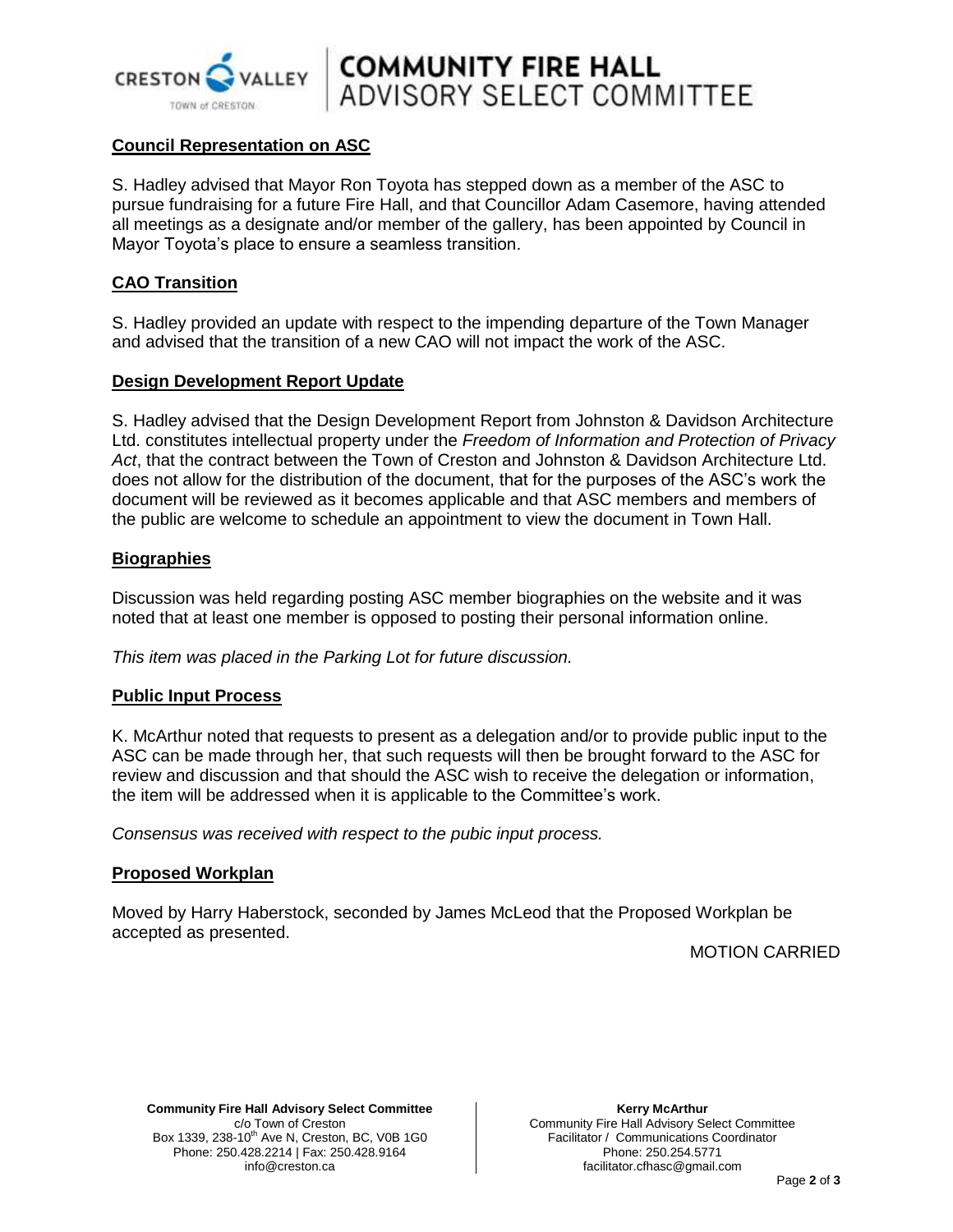

**COMMUNITY FIRE HALL**<br>ADVISORY SELECT COMMITTEE

### **Council Representation on ASC**

S. Hadley advised that Mayor Ron Toyota has stepped down as a member of the ASC to pursue fundraising for a future Fire Hall, and that Councillor Adam Casemore, having attended all meetings as a designate and/or member of the gallery, has been appointed by Council in Mayor Toyota's place to ensure a seamless transition.

#### **CAO Transition**

S. Hadley provided an update with respect to the impending departure of the Town Manager and advised that the transition of a new CAO will not impact the work of the ASC.

#### **Design Development Report Update**

S. Hadley advised that the Design Development Report from Johnston & Davidson Architecture Ltd. constitutes intellectual property under the *Freedom of Information and Protection of Privacy Act*, that the contract between the Town of Creston and Johnston & Davidson Architecture Ltd. does not allow for the distribution of the document, that for the purposes of the ASC's work the document will be reviewed as it becomes applicable and that ASC members and members of the public are welcome to schedule an appointment to view the document in Town Hall.

#### **Biographies**

Discussion was held regarding posting ASC member biographies on the website and it was noted that at least one member is opposed to posting their personal information online.

*This item was placed in the Parking Lot for future discussion.*

#### **Public Input Process**

K. McArthur noted that requests to present as a delegation and/or to provide public input to the ASC can be made through her, that such requests will then be brought forward to the ASC for review and discussion and that should the ASC wish to receive the delegation or information, the item will be addressed when it is applicable to the Committee's work.

*Consensus was received with respect to the pubic input process.*

#### **Proposed Workplan**

Moved by Harry Haberstock, seconded by James McLeod that the Proposed Workplan be accepted as presented.

MOTION CARRIED

**Community Fire Hall Advisory Select Committee** c/o Town of Creston Box 1339, 238-10<sup>th</sup> Ave N, Creston, BC, V0B 1G0 Phone: 250.428.2214 | Fax: 250.428.9164 info@creston.ca

**Kerry McArthur** Community Fire Hall Advisory Select Committee Facilitator / Communications Coordinator Phone: 250.254.5771 facilitator.cfhasc@gmail.com